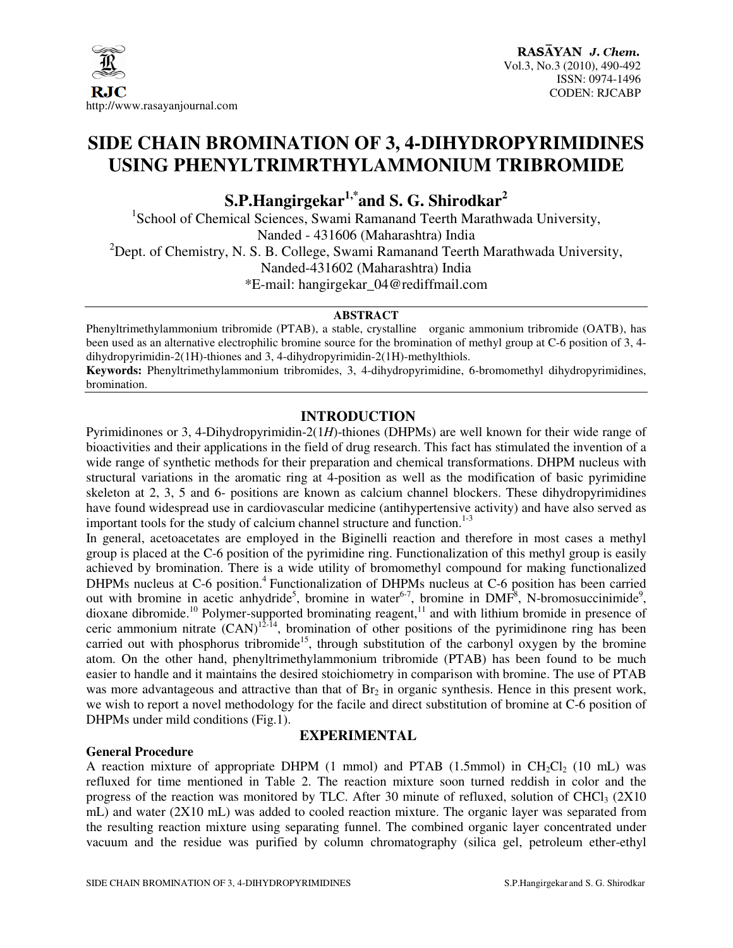

# **SIDE CHAIN BROMINATION OF 3, 4-DIHYDROPYRIMIDINES USING PHENYLTRIMRTHYLAMMONIUM TRIBROMIDE**

**S.P.Hangirgekar1,\*and S. G. Shirodkar<sup>2</sup>**

<sup>1</sup>School of Chemical Sciences, Swami Ramanand Teerth Marathwada University, Nanded - 431606 (Maharashtra) India  $^{2}$ Dept. of Chemistry, N. S. B. College, Swami Ramanand Teerth Marathwada University, Nanded-431602 (Maharashtra) India \*E-mail: hangirgekar\_04@rediffmail.com

#### **ABSTRACT**

Phenyltrimethylammonium tribromide (PTAB), a stable, crystalline organic ammonium tribromide (OATB), has been used as an alternative electrophilic bromine source for the bromination of methyl group at C-6 position of 3, 4 dihydropyrimidin-2(1H)-thiones and 3, 4-dihydropyrimidin-2(1H)-methylthiols.

**Keywords:** Phenyltrimethylammonium tribromides, 3, 4-dihydropyrimidine, 6-bromomethyl dihydropyrimidines, bromination.

## **INTRODUCTION**

Pyrimidinones or 3, 4-Dihydropyrimidin-2(1*H*)-thiones (DHPMs) are well known for their wide range of bioactivities and their applications in the field of drug research. This fact has stimulated the invention of a wide range of synthetic methods for their preparation and chemical transformations. DHPM nucleus with structural variations in the aromatic ring at 4-position as well as the modification of basic pyrimidine skeleton at 2, 3, 5 and 6- positions are known as calcium channel blockers. These dihydropyrimidines have found widespread use in cardiovascular medicine (antihypertensive activity) and have also served as important tools for the study of calcium channel structure and function. $1-3$ 

In general, acetoacetates are employed in the Biginelli reaction and therefore in most cases a methyl group is placed at the C-6 position of the pyrimidine ring. Functionalization of this methyl group is easily achieved by bromination. There is a wide utility of bromomethyl compound for making functionalized DHPMs nucleus at C-6 position.<sup>4</sup> Functionalization of DHPMs nucleus at C-6 position has been carried out with bromine in acetic anhydride<sup>5</sup>, bromine in water<sup>6-7</sup>, bromine in DMF<sup>8</sup>, N-bromosuccinimide<sup>9</sup>, dioxane dibromide.<sup>10</sup> Polymer-supported brominating reagent,<sup>11</sup> and with lithium bromide in presence of ceric ammonium nitrate  $(CAN)^{12.14}$ , bromination of other positions of the pyrimidinone ring has been carried out with phosphorus tribromide<sup>15</sup>, through substitution of the carbonyl oxygen by the bromine atom. On the other hand, phenyltrimethylammonium tribromide (PTAB) has been found to be much easier to handle and it maintains the desired stoichiometry in comparison with bromine. The use of PTAB was more advantageous and attractive than that of  $Br<sub>2</sub>$  in organic synthesis. Hence in this present work, we wish to report a novel methodology for the facile and direct substitution of bromine at C-6 position of DHPMs under mild conditions (Fig.1).

## **EXPERIMENTAL**

A reaction mixture of appropriate DHPM (1 mmol) and PTAB (1.5mmol) in  $CH_2Cl_2$  (10 mL) was refluxed for time mentioned in Table 2. The reaction mixture soon turned reddish in color and the progress of the reaction was monitored by TLC. After 30 minute of refluxed, solution of CHCl<sub>3</sub> ( $2X10$ ) mL) and water (2X10 mL) was added to cooled reaction mixture. The organic layer was separated from the resulting reaction mixture using separating funnel. The combined organic layer concentrated under vacuum and the residue was purified by column chromatography (silica gel, petroleum ether-ethyl

**General Procedure**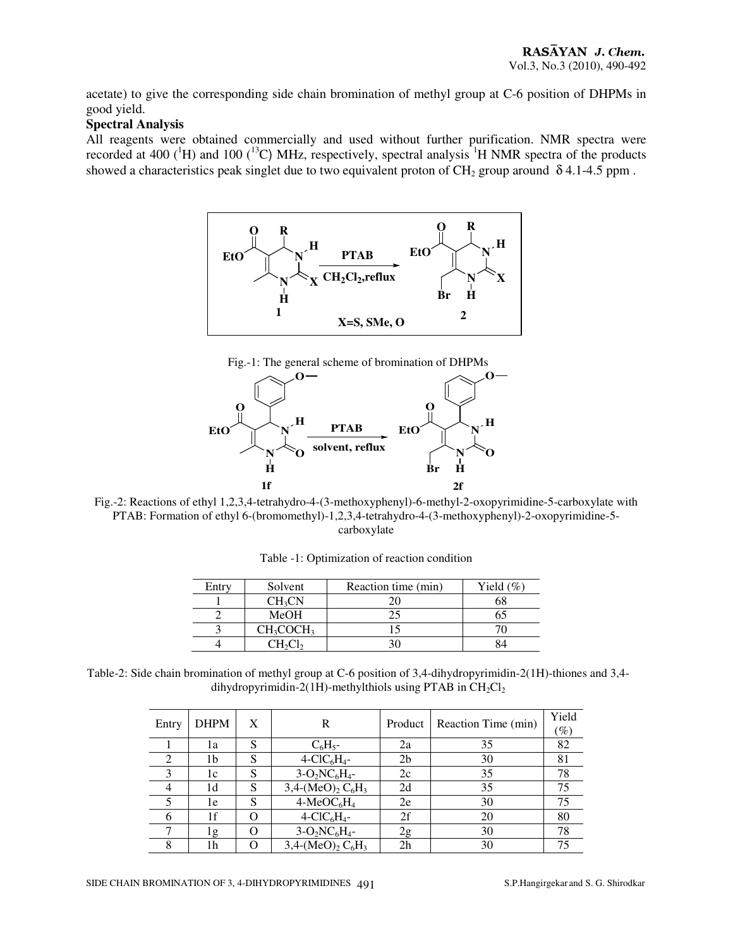acetate) to give the corresponding side chain bromination of methyl group at C-6 position of DHPMs in good yield.

## **Spectral Analysis**

All reagents were obtained commercially and used without further purification. NMR spectra were recorded at 400 ( ${}^{1}$ H) and 100 ( ${}^{13}$ C) MHz, respectively, spectral analysis  ${}^{1}$ H NMR spectra of the products showed a characteristics peak singlet due to two equivalent proton of CH<sub>2</sub> group around  $\delta$  4.1-4.5 ppm.



Fig.-1: The general scheme of bromination of DHPMs



Fig.-2: Reactions of ethyl 1,2,3,4-tetrahydro-4-(3-methoxyphenyl)-6-methyl-2-oxopyrimidine-5-carboxylate with PTAB: Formation of ethyl 6-(bromomethyl)-1,2,3,4-tetrahydro-4-(3-methoxyphenyl)-2-oxopyrimidine-5 carboxylate

| Entry | Solvent            | Reaction time (min) | Yield $(\%)$ |
|-------|--------------------|---------------------|--------------|
|       | CH <sub>3</sub> CN |                     |              |
|       | MeOH               |                     |              |
|       | $CH_3COCH_3$       |                     |              |
|       |                    |                     |              |

Table -1: Optimization of reaction condition

Table-2: Side chain bromination of methyl group at C-6 position of 3,4-dihydropyrimidin-2(1H)-thiones and 3,4 dihydropyrimidin-2(1H)-methylthiols using PTAB in  $CH_2Cl_2$ 

| Entry | <b>DHPM</b> | X | R                                                                  | Product        | Reaction Time (min) | Yield<br>$(\%)$ |
|-------|-------------|---|--------------------------------------------------------------------|----------------|---------------------|-----------------|
|       | 1a          | S | $C_6H_5$ -                                                         | 2a             | 35                  | 82              |
|       | 1b          | S | $4-CIC6H4$ -                                                       | 2 <sub>b</sub> | 30                  | 81              |
|       | 1c          | S | $3-O_2NC_6H_4$ -                                                   | 2c             | 35                  | 78              |
|       | 1d          | S | $\overline{3,4}$ -(MeO) <sub>2</sub> C <sub>6</sub> H <sub>3</sub> | 2d             | 35                  | 75              |
|       | 1e          | S | $4-MeOC6H4$                                                        | 2e             | 30                  | 75              |
| 6     | 1f          | ∩ | $4-CIC6H4$ -                                                       | 2f             | 20                  | 80              |
|       | 1g          | O | $3-O_2NC_6H_4$ -                                                   | 2g             | 30                  | 78              |
| 8     | 1h          |   | $3,4-(MeO)2 C6H3$                                                  | 2 <sub>h</sub> | 30                  | 75              |